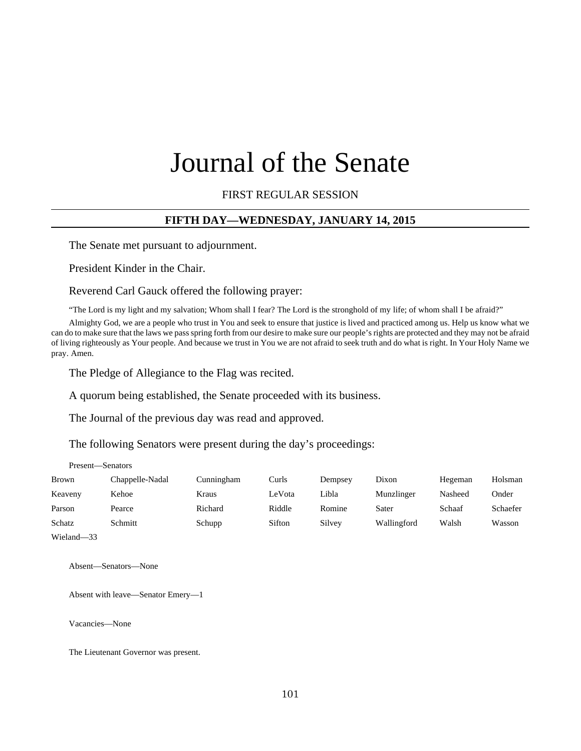# Journal of the Senate

FIRST REGULAR SESSION

#### **FIFTH DAY—WEDNESDAY, JANUARY 14, 2015**

The Senate met pursuant to adjournment.

President Kinder in the Chair.

Reverend Carl Gauck offered the following prayer:

"The Lord is my light and my salvation; Whom shall I fear? The Lord is the stronghold of my life; of whom shall I be afraid?"

Almighty God, we are a people who trust in You and seek to ensure that justice is lived and practiced among us. Help us know what we can do to make sure that the laws we pass spring forth from our desire to make sure our people's rights are protected and they may not be afraid of living righteously as Your people. And because we trust in You we are not afraid to seek truth and do what is right. In Your Holy Name we pray. Amen.

The Pledge of Allegiance to the Flag was recited.

A quorum being established, the Senate proceeded with its business.

The Journal of the previous day was read and approved.

The following Senators were present during the day's proceedings:

| <b>Brown</b> | Chappelle-Nadal | Cunningham | Curls  | Dempsey | Dixon       | Hegeman | Holsman  |
|--------------|-----------------|------------|--------|---------|-------------|---------|----------|
| Keaveny      | Kehoe           | Kraus      | LeVota | Libla   | Munzlinger  | Nasheed | Onder    |
| Parson       | Pearce          | Richard    | Riddle | Romine  | Sater       | Schaaf  | Schaefer |
| Schatz       | Schmitt         | Schupp     | Sifton | Silvey  | Wallingford | Walsh   | Wasson   |
|              |                 |            |        |         |             |         |          |

Wieland—33

Absent—Senators—None

Absent with leave—Senator Emery—1

Vacancies—None

Present—Senators

The Lieutenant Governor was present.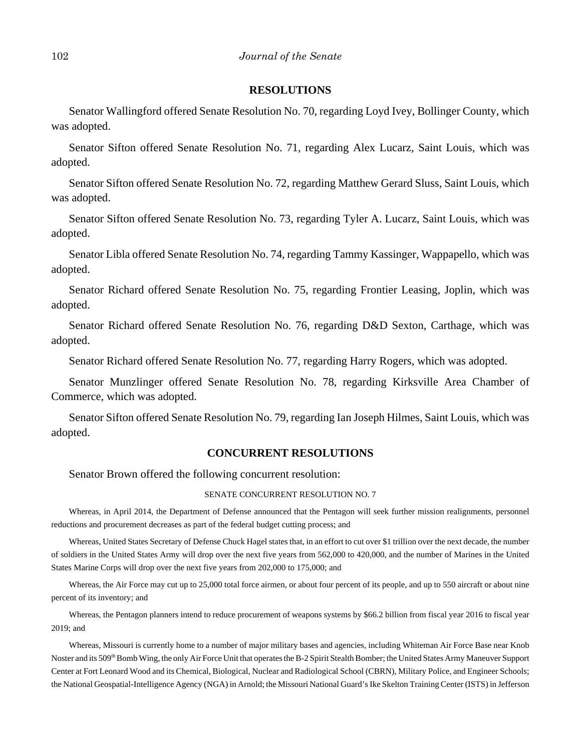#### **RESOLUTIONS**

Senator Wallingford offered Senate Resolution No. 70, regarding Loyd Ivey, Bollinger County, which was adopted.

Senator Sifton offered Senate Resolution No. 71, regarding Alex Lucarz, Saint Louis, which was adopted.

Senator Sifton offered Senate Resolution No. 72, regarding Matthew Gerard Sluss, Saint Louis, which was adopted.

Senator Sifton offered Senate Resolution No. 73, regarding Tyler A. Lucarz, Saint Louis, which was adopted.

Senator Libla offered Senate Resolution No. 74, regarding Tammy Kassinger, Wappapello, which was adopted.

Senator Richard offered Senate Resolution No. 75, regarding Frontier Leasing, Joplin, which was adopted.

Senator Richard offered Senate Resolution No. 76, regarding D&D Sexton, Carthage, which was adopted.

Senator Richard offered Senate Resolution No. 77, regarding Harry Rogers, which was adopted.

Senator Munzlinger offered Senate Resolution No. 78, regarding Kirksville Area Chamber of Commerce, which was adopted.

Senator Sifton offered Senate Resolution No. 79, regarding Ian Joseph Hilmes, Saint Louis, which was adopted.

#### **CONCURRENT RESOLUTIONS**

Senator Brown offered the following concurrent resolution:

#### SENATE CONCURRENT RESOLUTION NO. 7

Whereas, in April 2014, the Department of Defense announced that the Pentagon will seek further mission realignments, personnel reductions and procurement decreases as part of the federal budget cutting process; and

Whereas, United States Secretary of Defense Chuck Hagel states that, in an effort to cut over \$1 trillion over the next decade, the number of soldiers in the United States Army will drop over the next five years from 562,000 to 420,000, and the number of Marines in the United States Marine Corps will drop over the next five years from 202,000 to 175,000; and

Whereas, the Air Force may cut up to 25,000 total force airmen, or about four percent of its people, and up to 550 aircraft or about nine percent of its inventory; and

Whereas, the Pentagon planners intend to reduce procurement of weapons systems by \$66.2 billion from fiscal year 2016 to fiscal year 2019; and

Whereas, Missouri is currently home to a number of major military bases and agencies, including Whiteman Air Force Base near Knob Noster and its 509<sup>th</sup> Bomb Wing, the only Air Force Unit that operates the B-2 Spirit Stealth Bomber; the United States Army Maneuver Support Center at Fort Leonard Wood and its Chemical, Biological, Nuclear and Radiological School (CBRN), Military Police, and Engineer Schools; the National Geospatial-Intelligence Agency (NGA) in Arnold; the Missouri National Guard's Ike Skelton Training Center (ISTS) in Jefferson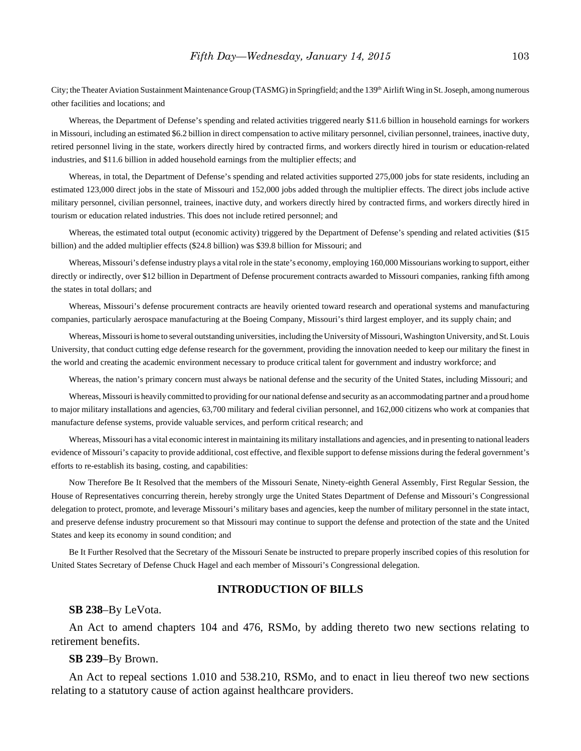City; the Theater Aviation Sustainment Maintenance Group (TASMG) in Springfield; and the 139<sup>th</sup> Airlift Wing in St. Joseph, among numerous other facilities and locations; and

Whereas, the Department of Defense's spending and related activities triggered nearly \$11.6 billion in household earnings for workers in Missouri, including an estimated \$6.2 billion in direct compensation to active military personnel, civilian personnel, trainees, inactive duty, retired personnel living in the state, workers directly hired by contracted firms, and workers directly hired in tourism or education-related industries, and \$11.6 billion in added household earnings from the multiplier effects; and

Whereas, in total, the Department of Defense's spending and related activities supported 275,000 jobs for state residents, including an estimated 123,000 direct jobs in the state of Missouri and 152,000 jobs added through the multiplier effects. The direct jobs include active military personnel, civilian personnel, trainees, inactive duty, and workers directly hired by contracted firms, and workers directly hired in tourism or education related industries. This does not include retired personnel; and

Whereas, the estimated total output (economic activity) triggered by the Department of Defense's spending and related activities (\$15) billion) and the added multiplier effects (\$24.8 billion) was \$39.8 billion for Missouri; and

Whereas, Missouri's defense industry plays a vital role in the state's economy, employing 160,000 Missourians working to support, either directly or indirectly, over \$12 billion in Department of Defense procurement contracts awarded to Missouri companies, ranking fifth among the states in total dollars; and

Whereas, Missouri's defense procurement contracts are heavily oriented toward research and operational systems and manufacturing companies, particularly aerospace manufacturing at the Boeing Company, Missouri's third largest employer, and its supply chain; and

Whereas, Missouri is home to several outstanding universities, including the University of Missouri, Washington University, and St. Louis University, that conduct cutting edge defense research for the government, providing the innovation needed to keep our military the finest in the world and creating the academic environment necessary to produce critical talent for government and industry workforce; and

Whereas, the nation's primary concern must always be national defense and the security of the United States, including Missouri; and

Whereas, Missouri is heavily committed to providing for our national defense and security as an accommodating partner and a proud home to major military installations and agencies, 63,700 military and federal civilian personnel, and 162,000 citizens who work at companies that manufacture defense systems, provide valuable services, and perform critical research; and

Whereas, Missouri has a vital economic interest in maintaining its military installations and agencies, and in presenting to national leaders evidence of Missouri's capacity to provide additional, cost effective, and flexible support to defense missions during the federal government's efforts to re-establish its basing, costing, and capabilities:

Now Therefore Be It Resolved that the members of the Missouri Senate, Ninety-eighth General Assembly, First Regular Session, the House of Representatives concurring therein, hereby strongly urge the United States Department of Defense and Missouri's Congressional delegation to protect, promote, and leverage Missouri's military bases and agencies, keep the number of military personnel in the state intact, and preserve defense industry procurement so that Missouri may continue to support the defense and protection of the state and the United States and keep its economy in sound condition; and

Be It Further Resolved that the Secretary of the Missouri Senate be instructed to prepare properly inscribed copies of this resolution for United States Secretary of Defense Chuck Hagel and each member of Missouri's Congressional delegation.

#### **INTRODUCTION OF BILLS**

#### **SB 238**–By LeVota.

An Act to amend chapters 104 and 476, RSMo, by adding thereto two new sections relating to retirement benefits.

#### **SB 239**–By Brown.

An Act to repeal sections 1.010 and 538.210, RSMo, and to enact in lieu thereof two new sections relating to a statutory cause of action against healthcare providers.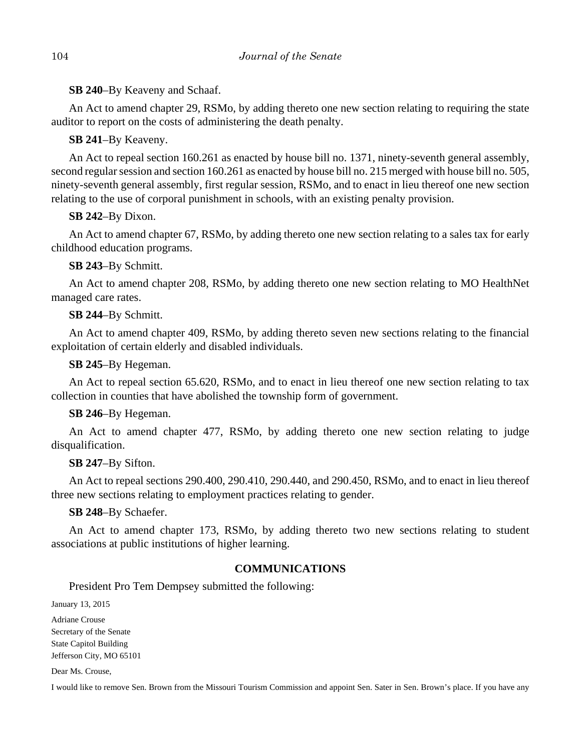**SB 240**–By Keaveny and Schaaf.

An Act to amend chapter 29, RSMo, by adding thereto one new section relating to requiring the state auditor to report on the costs of administering the death penalty.

# **SB 241**–By Keaveny.

An Act to repeal section 160.261 as enacted by house bill no. 1371, ninety-seventh general assembly, second regular session and section 160.261 as enacted by house bill no. 215 merged with house bill no. 505, ninety-seventh general assembly, first regular session, RSMo, and to enact in lieu thereof one new section relating to the use of corporal punishment in schools, with an existing penalty provision.

# **SB 242**–By Dixon.

An Act to amend chapter 67, RSMo, by adding thereto one new section relating to a sales tax for early childhood education programs.

# **SB 243**–By Schmitt.

An Act to amend chapter 208, RSMo, by adding thereto one new section relating to MO HealthNet managed care rates.

# **SB 244**–By Schmitt.

An Act to amend chapter 409, RSMo, by adding thereto seven new sections relating to the financial exploitation of certain elderly and disabled individuals.

# **SB 245**–By Hegeman.

An Act to repeal section 65.620, RSMo, and to enact in lieu thereof one new section relating to tax collection in counties that have abolished the township form of government.

# **SB 246**–By Hegeman.

An Act to amend chapter 477, RSMo, by adding thereto one new section relating to judge disqualification.

# **SB 247**–By Sifton.

An Act to repeal sections 290.400, 290.410, 290.440, and 290.450, RSMo, and to enact in lieu thereof three new sections relating to employment practices relating to gender.

# **SB 248**–By Schaefer.

An Act to amend chapter 173, RSMo, by adding thereto two new sections relating to student associations at public institutions of higher learning.

# **COMMUNICATIONS**

President Pro Tem Dempsey submitted the following:

January 13, 2015

Adriane Crouse Secretary of the Senate State Capitol Building Jefferson City, MO 65101

Dear Ms. Crouse,

I would like to remove Sen. Brown from the Missouri Tourism Commission and appoint Sen. Sater in Sen. Brown's place. If you have any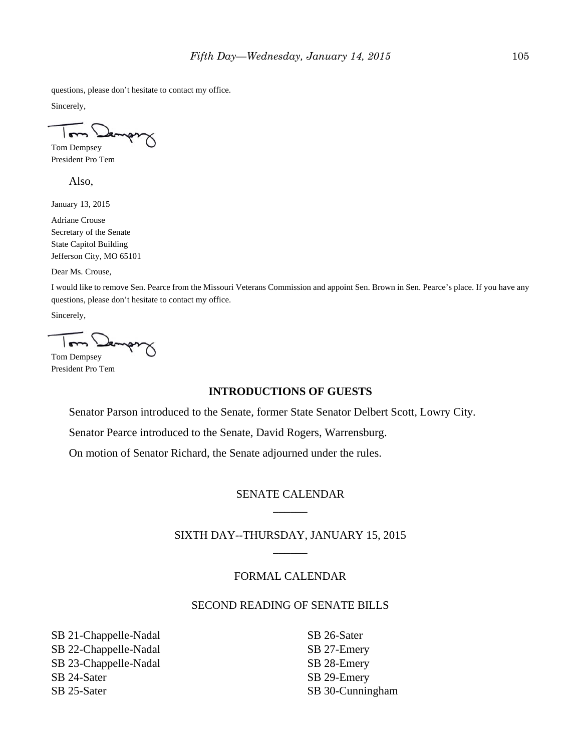questions, please don't hesitate to contact my office.

Sincerely,

 $\overline{m}$ Tom Dempsey

President Pro Tem

Also,

January 13, 2015

Adriane Crouse Secretary of the Senate State Capitol Building Jefferson City, MO 65101

Dear Ms. Crouse,

I would like to remove Sen. Pearce from the Missouri Veterans Commission and appoint Sen. Brown in Sen. Pearce's place. If you have any questions, please don't hesitate to contact my office.

Sincerely,

Tom Dempsey

President Pro Tem

#### **INTRODUCTIONS OF GUESTS**

Senator Parson introduced to the Senate, former State Senator Delbert Scott, Lowry City.

Senator Pearce introduced to the Senate, David Rogers, Warrensburg.

On motion of Senator Richard, the Senate adjourned under the rules.

# SENATE CALENDAR  $\overline{\phantom{a}}$

SIXTH DAY--THURSDAY, JANUARY 15, 2015 \_\_\_\_\_\_

#### FORMAL CALENDAR

#### SECOND READING OF SENATE BILLS

SB 21-Chappelle-Nadal SB 22-Chappelle-Nadal SB 23-Chappelle-Nadal SB 24-Sater SB 25-Sater

SB 26-Sater SB 27-Emery SB 28-Emery SB 29-Emery SB 30-Cunningham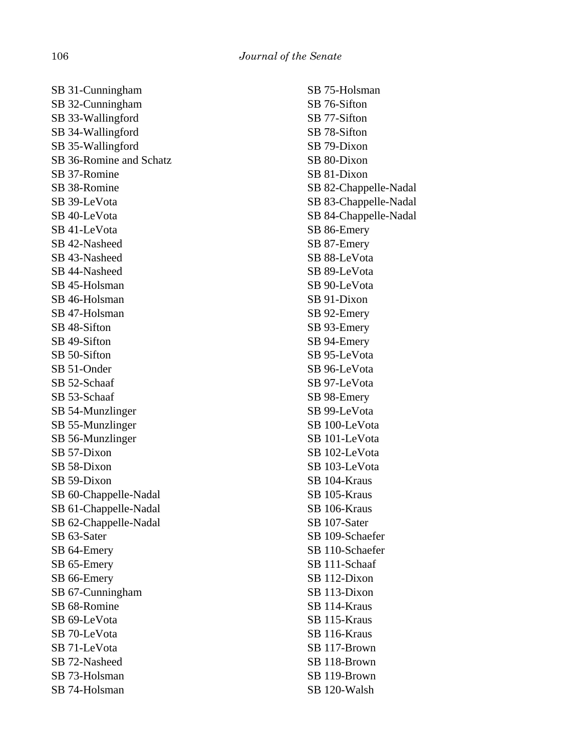SB 31-Cunningham SB 32-Cunningham SB 33-Wallingford SB 34-Wallingford SB 35-Wallingford SB 36-Romine and Schatz SB 37-Romine SB 38-Romine SB 39-LeVota SB 40-LeVota SB 41-LeVota SB 42-Nasheed SB 43-Nasheed SB 44-Nasheed SB 45-Holsman SB 46-Holsman SB 47-Holsman SB 48-Sifton SB 49-Sifton SB 50-Sifton SB 51-Onder SB 52-Schaaf SB 53-Schaaf SB 54-Munzlinger SB 55-Munzlinger SB 56-Munzlinger SB 57-Dixon SB 58-Dixon SB 59-Dixon SB 60-Chappelle-Nadal SB 61-Chappelle-Nadal SB 62-Chappelle-Nadal SB 63-Sater SB 64-Emery SB 65-Emery SB 66-Emery SB 67-Cunningham SB 68-Romine SB 69-LeVota SB 70-LeVota SB 71-LeVota SB 72-Nasheed SB 73-Holsman SB 74-Holsman

SB 75-Holsman SB 76-Sifton SB 77-Sifton SB 78-Sifton SB 79-Dixon SB 80-Dixon SB 81-Dixon SB 82-Chappelle-Nadal SB 83-Chappelle-Nadal SB 84-Chappelle-Nadal SB 86-Emery SB 87-Emery SB 88-LeVota SB 89-LeVota SB 90-LeVota SB 91-Dixon SB 92-Emery SB 93-Emery SB 94-Emery SB 95-LeVota SB 96-LeVota SB 97-LeVota SB 98-Emery SB 99-LeVota SB 100-LeVota SB 101-LeVota SB 102-LeVota SB 103-LeVota SB 104-Kraus SB 105-Kraus SB 106-Kraus SB 107-Sater SB 109-Schaefer SB 110-Schaefer SB 111-Schaaf SB 112-Dixon SB 113-Dixon SB 114-Kraus SB 115-Kraus SB 116-Kraus SB 117-Brown SB 118-Brown SB 119-Brown SB 120-Walsh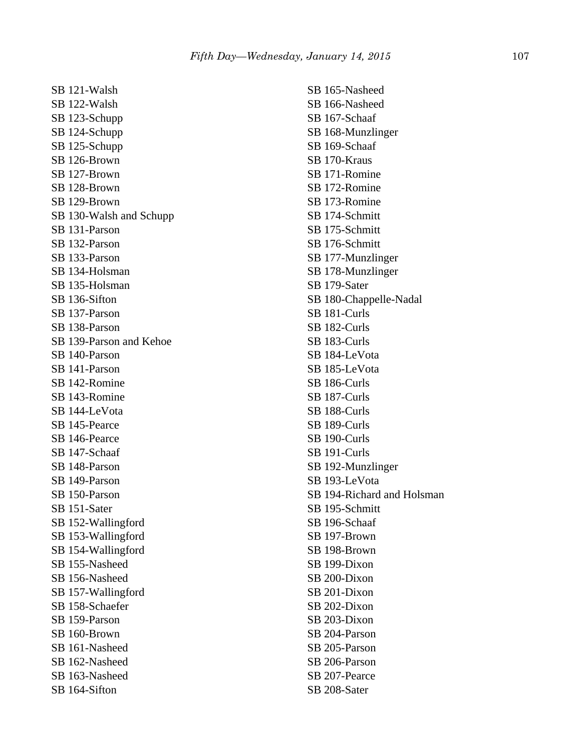SB 121-Walsh SB 122-Walsh SB 123-Schupp SB 124-Schupp SB 125-Schupp SB 126-Brown SB 127-Brown SB 128-Brown SB 129-Brown SB 130-Walsh and Schupp SB 131-Parson SB 132-Parson SB 133-Parson SB 134-Holsman SB 135-Holsman SB 136-Sifton SB 137-Parson SB 138-Parson SB 139-Parson and Kehoe SB 140-Parson SB 141-Parson SB 142-Romine SB 143-Romine SB 144-LeVota SB 145-Pearce SB 146-Pearce SB 147-Schaaf SB 148-Parson SB 149-Parson SB 150-Parson SB 151-Sater SB 152-Wallingford SB 153-Wallingford SB 154-Wallingford SB 155-Nasheed SB 156-Nasheed SB 157-Wallingford SB 158-Schaefer SB 159-Parson SB 160-Brown SB 161-Nasheed SB 162-Nasheed SB 163-Nasheed SB 164-Sifton

SB 165-Nasheed SB 166-Nasheed SB 167-Schaaf SB 168-Munzlinger SB 169-Schaaf SB 170-Kraus SB 171-Romine SB 172-Romine SB 173-Romine SB 174-Schmitt SB 175-Schmitt SB 176-Schmitt SB 177-Munzlinger SB 178-Munzlinger SB 179-Sater SB 180-Chappelle-Nadal SB 181-Curls SB 182-Curls SB 183-Curls SB 184-LeVota SB 185-LeVota SB 186-Curls SB 187-Curls SB 188-Curls SB 189-Curls SB 190-Curls SB 191-Curls SB 192-Munzlinger SB 193-LeVota SB 194-Richard and Holsman SB 195-Schmitt SB 196-Schaaf SB 197-Brown SB 198-Brown SB 199-Dixon SB 200-Dixon SB 201-Dixon SB 202-Dixon SB 203-Dixon SB 204-Parson SB 205-Parson SB 206-Parson SB 207-Pearce SB 208-Sater